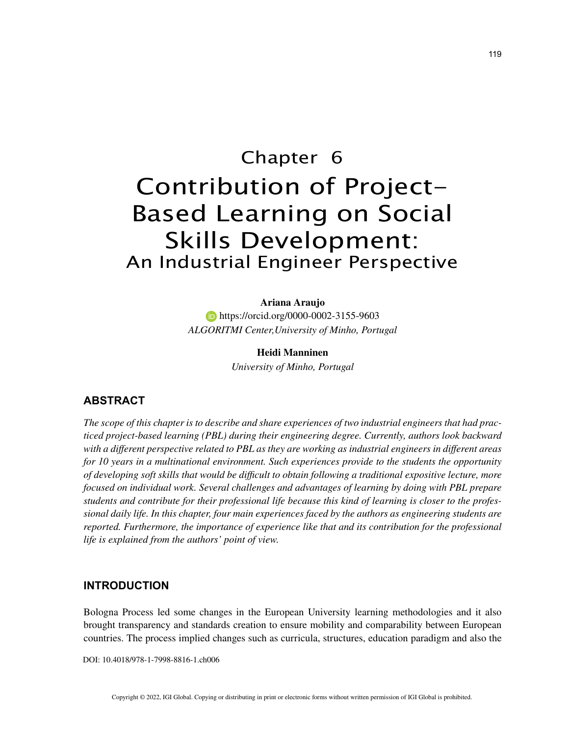# Chapter 6 Contribution of Project-Based Learning on Social

# Skills Development: An Industrial Engineer Perspective

**Ariana Araujo https://orcid.org/0000-0002-3155-9603** *ALGORITMI Center,University of Minho, Portugal*

#### **Heidi Manninen**

*University of Minho, Portugal*

# **ABSTRACT**

*The scope of this chapter is to describe and share experiences of two industrial engineers that had practiced project-based learning (PBL) during their engineering degree. Currently, authors look backward with a different perspective related to PBL as they are working as industrial engineers in different areas for 10 years in a multinational environment. Such experiences provide to the students the opportunity of developing soft skills that would be difficult to obtain following a traditional expositive lecture, more focused on individual work. Several challenges and advantages of learning by doing with PBL prepare students and contribute for their professional life because this kind of learning is closer to the professional daily life. In this chapter, four main experiences faced by the authors as engineering students are reported. Furthermore, the importance of experience like that and its contribution for the professional life is explained from the authors' point of view.*

# **INTRODUCTION**

Bologna Process led some changes in the European University learning methodologies and it also brought transparency and standards creation to ensure mobility and comparability between European countries. The process implied changes such as curricula, structures, education paradigm and also the

DOI: 10.4018/978-1-7998-8816-1.ch006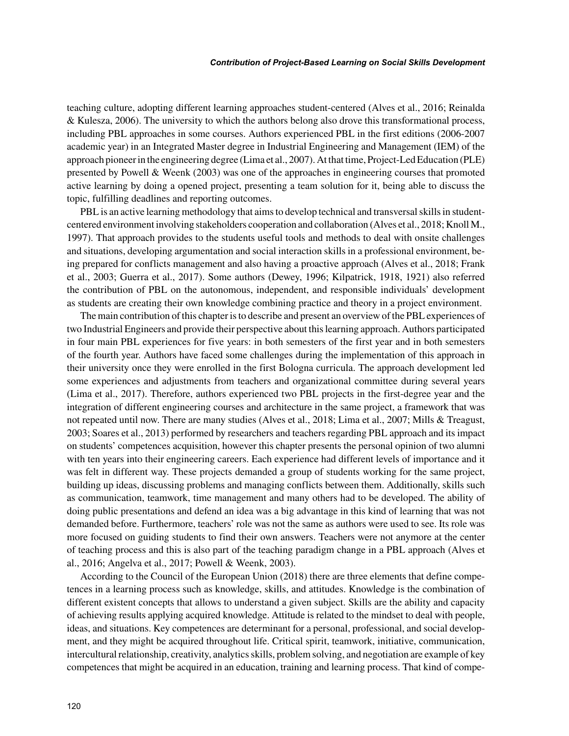teaching culture, adopting different learning approaches student-centered (Alves et al., 2016; Reinalda & Kulesza, 2006). The university to which the authors belong also drove this transformational process, including PBL approaches in some courses. Authors experienced PBL in the first editions (2006-2007 academic year) in an Integrated Master degree in Industrial Engineering and Management (IEM) of the approach pioneer in the engineering degree (Lima et al., 2007). At that time, Project-Led Education (PLE) presented by Powell & Weenk (2003) was one of the approaches in engineering courses that promoted active learning by doing a opened project, presenting a team solution for it, being able to discuss the topic, fulfilling deadlines and reporting outcomes.

PBL is an active learning methodology that aims to develop technical and transversal skills in studentcentered environment involving stakeholders cooperation and collaboration (Alves et al., 2018; Knoll M., 1997). That approach provides to the students useful tools and methods to deal with onsite challenges and situations, developing argumentation and social interaction skills in a professional environment, being prepared for conflicts management and also having a proactive approach (Alves et al., 2018; Frank et al., 2003; Guerra et al., 2017). Some authors (Dewey, 1996; Kilpatrick, 1918, 1921) also referred the contribution of PBL on the autonomous, independent, and responsible individuals' development as students are creating their own knowledge combining practice and theory in a project environment.

The main contribution of this chapter is to describe and present an overview of the PBL experiences of two Industrial Engineers and provide their perspective about this learning approach. Authors participated in four main PBL experiences for five years: in both semesters of the first year and in both semesters of the fourth year. Authors have faced some challenges during the implementation of this approach in their university once they were enrolled in the first Bologna curricula. The approach development led some experiences and adjustments from teachers and organizational committee during several years (Lima et al., 2017). Therefore, authors experienced two PBL projects in the first-degree year and the integration of different engineering courses and architecture in the same project, a framework that was not repeated until now. There are many studies (Alves et al., 2018; Lima et al., 2007; Mills & Treagust, 2003; Soares et al., 2013) performed by researchers and teachers regarding PBL approach and its impact on students' competences acquisition, however this chapter presents the personal opinion of two alumni with ten years into their engineering careers. Each experience had different levels of importance and it was felt in different way. These projects demanded a group of students working for the same project, building up ideas, discussing problems and managing conflicts between them. Additionally, skills such as communication, teamwork, time management and many others had to be developed. The ability of doing public presentations and defend an idea was a big advantage in this kind of learning that was not demanded before. Furthermore, teachers' role was not the same as authors were used to see. Its role was more focused on guiding students to find their own answers. Teachers were not anymore at the center of teaching process and this is also part of the teaching paradigm change in a PBL approach (Alves et al., 2016; Angelva et al., 2017; Powell & Weenk, 2003).

According to the Council of the European Union (2018) there are three elements that define competences in a learning process such as knowledge, skills, and attitudes. Knowledge is the combination of different existent concepts that allows to understand a given subject. Skills are the ability and capacity of achieving results applying acquired knowledge. Attitude is related to the mindset to deal with people, ideas, and situations. Key competences are determinant for a personal, professional, and social development, and they might be acquired throughout life. Critical spirit, teamwork, initiative, communication, intercultural relationship, creativity, analytics skills, problem solving, and negotiation are example of key competences that might be acquired in an education, training and learning process. That kind of compe-